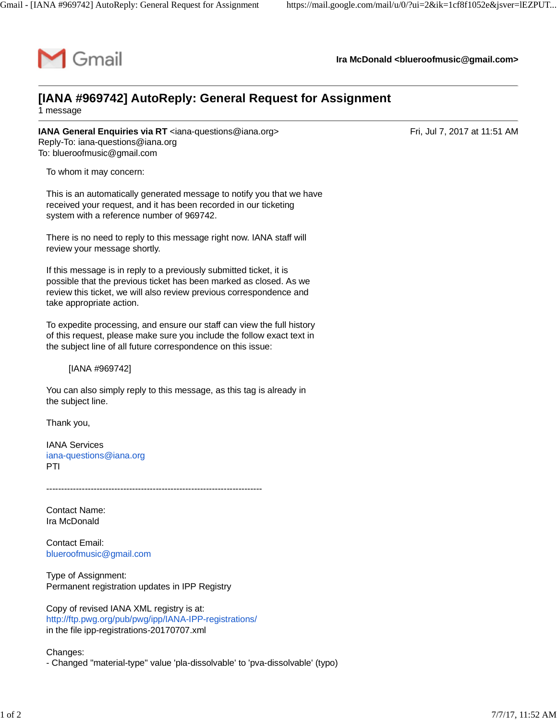

**Ira McDonald [<blueroofmusic@gmail.com](mailto:blueroofmusic@gmail.com)>**

## **[IANA #969742] AutoReply: General Request for Assignment**

1 message

**IANA General Enquiries via RT** [<iana-questions@iana.org>](mailto:iana-questions@iana.org) **Example 2017** at 11:51 AM Reply-To: [iana-questions@iana.org](mailto:iana-questions@iana.org) To: [blueroofmusic@gmail.com](mailto:blueroofmusic@gmail.com)

To whom it may concern:

This is an automatically generated message to notify you that we have received your request, and it has been recorded in our ticketing system with a reference number of 969742.

There is no need to reply to this message right now. IANA staff will review your message shortly.

If this message is in reply to a previously submitted ticket, it is possible that the previous ticket has been marked as closed. As we review this ticket, we will also review previous correspondence and take appropriate action.

To expedite processing, and ensure our staff can view the full history of this request, please make sure you include the follow exact text in the subject line of all future correspondence on this issue:

[IANA #969742]

You can also simply reply to this message, as this tag is already in the subject line.

Thank you,

IANA Services [iana-questions@iana.org](mailto:iana-questions@iana.org) PTI

-------------------------------------------------------------------------

Contact Name: Ira McDonald

Contact Email: [blueroofmusic@gmail.com](mailto:blueroofmusic@gmail.com)

Type of Assignment: Permanent registration updates in IPP Registry

Copy of revised IANA XML registry is at: <http://ftp.pwg.org/pub/pwg/ipp/IANA-IPP-registrations/> in the file ipp-registrations-20170707.xml

Changes: - Changed "material-type" value 'pla-dissolvable' to 'pva-dissolvable' (typo)